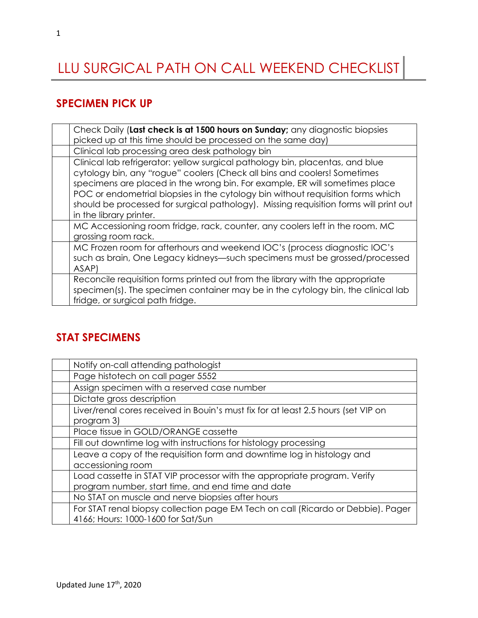# LLU SURGICAL PATH ON CALL WEEKEND CHECKLIST

#### **SPECIMEN PICK UP**

| Check Daily (Last check is at 1500 hours on Sunday; any diagnostic biopsies<br>picked up at this time should be processed on the same day)                                                                                                                                                                                                                                                                                                      |
|-------------------------------------------------------------------------------------------------------------------------------------------------------------------------------------------------------------------------------------------------------------------------------------------------------------------------------------------------------------------------------------------------------------------------------------------------|
| Clinical lab processing area desk pathology bin                                                                                                                                                                                                                                                                                                                                                                                                 |
| Clinical lab refrigerator: yellow surgical pathology bin, placentas, and blue<br>cytology bin, any "rogue" coolers (Check all bins and coolers! Sometimes<br>specimens are placed in the wrong bin. For example, ER will sometimes place<br>POC or endometrial biopsies in the cytology bin without requisition forms which<br>should be processed for surgical pathology). Missing requisition forms will print out<br>in the library printer. |
| MC Accessioning room fridge, rack, counter, any coolers left in the room. MC<br>grossing room rack.                                                                                                                                                                                                                                                                                                                                             |
| MC Frozen room for afterhours and weekend IOC's (process diagnostic IOC's<br>such as brain, One Legacy kidneys—such specimens must be grossed/processed<br>ASAP)                                                                                                                                                                                                                                                                                |
| Reconcile requisition forms printed out from the library with the appropriate<br>specimen(s). The specimen container may be in the cytology bin, the clinical lab<br>fridge, or surgical path fridge.                                                                                                                                                                                                                                           |

#### **STAT SPECIMENS**

| Notify on-call attending pathologist                                              |
|-----------------------------------------------------------------------------------|
| Page histotech on call pager 5552                                                 |
| Assign specimen with a reserved case number                                       |
| Dictate gross description                                                         |
| Liver/renal cores received in Bouin's must fix for at least 2.5 hours (set VIP on |
| program 3)                                                                        |
| Place tissue in GOLD/ORANGE cassette                                              |
| Fill out downtime log with instructions for histology processing                  |
| Leave a copy of the requisition form and downtime log in histology and            |
| accessioning room                                                                 |
| Load cassette in STAT VIP processor with the appropriate program. Verify          |
| program number, start time, and end time and date                                 |
| No STAT on muscle and nerve biopsies after hours                                  |
| For STAT renal biopsy collection page EM Tech on call (Ricardo or Debbie). Pager  |
| 4166; Hours: 1000-1600 for Sat/Sun                                                |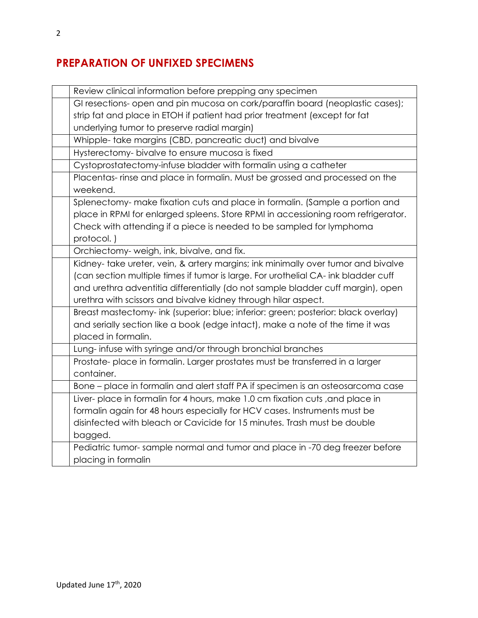## **PREPARATION OF UNFIXED SPECIMENS**

| Review clinical information before prepping any specimen                           |
|------------------------------------------------------------------------------------|
| GI resections- open and pin mucosa on cork/paraffin board (neoplastic cases);      |
| strip fat and place in ETOH if patient had prior treatment (except for fat         |
| underlying tumor to preserve radial margin)                                        |
| Whipple- take margins (CBD, pancreatic duct) and bivalve                           |
| Hysterectomy- bivalve to ensure mucosa is fixed                                    |
| Cystoprostatectomy-infuse bladder with formalin using a catheter                   |
| Placentas- rinse and place in formalin. Must be grossed and processed on the       |
| weekend.                                                                           |
| Splenectomy- make fixation cuts and place in formalin. (Sample a portion and       |
| place in RPMI for enlarged spleens. Store RPMI in accessioning room refrigerator.  |
| Check with attending if a piece is needed to be sampled for lymphoma               |
| protocol.)                                                                         |
| Orchiectomy-weigh, ink, bivalve, and fix.                                          |
| Kidney- take ureter, vein, & artery margins; ink minimally over tumor and bivalve  |
| (can section multiple times if tumor is large. For urothelial CA- ink bladder cuff |
| and urethra adventitia differentially (do not sample bladder cuff margin), open    |
| urethra with scissors and bivalve kidney through hilar aspect.                     |
| Breast mastectomy- ink (superior: blue; inferior: green; posterior: black overlay) |
| and serially section like a book (edge intact), make a note of the time it was     |
| placed in formalin.                                                                |
| Lung-infuse with syringe and/or through bronchial branches                         |
| Prostate-place in formalin. Larger prostates must be transferred in a larger       |
| container.                                                                         |
| Bone - place in formalin and alert staff PA if specimen is an osteosarcoma case    |
| Liver- place in formalin for 4 hours, make 1.0 cm fixation cuts, and place in      |
| formalin again for 48 hours especially for HCV cases. Instruments must be          |
| disinfected with bleach or Cavicide for 15 minutes. Trash must be double           |
| bagged.                                                                            |
| Pediatric tumor-sample normal and tumor and place in -70 deg freezer before        |
| placing in formalin                                                                |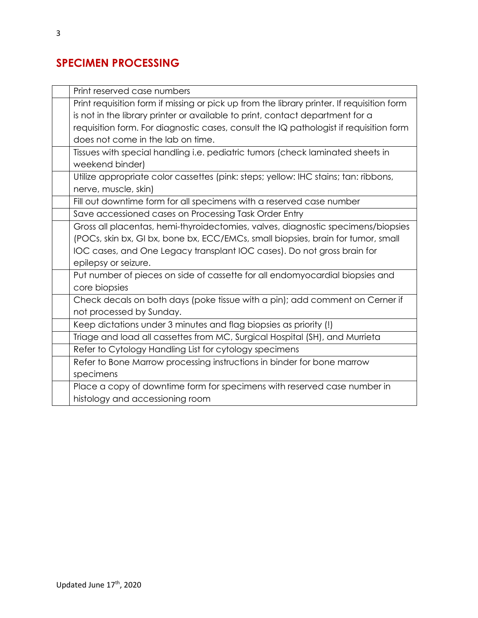## **SPECIMEN PROCESSING**

| Print reserved case numbers                                                                |
|--------------------------------------------------------------------------------------------|
| Print requisition form if missing or pick up from the library printer. If requisition form |
| is not in the library printer or available to print, contact department for a              |
| requisition form. For diagnostic cases, consult the IQ pathologist if requisition form     |
| does not come in the lab on time.                                                          |
| Tissues with special handling i.e. pediatric tumors (check laminated sheets in             |
| weekend binder)                                                                            |
| Utilize appropriate color cassettes (pink: steps; yellow: IHC stains; tan: ribbons,        |
| nerve, muscle, skin)                                                                       |
| Fill out downtime form for all specimens with a reserved case number                       |
| Save accessioned cases on Processing Task Order Entry                                      |
| Gross all placentas, hemi-thyroidectomies, valves, diagnostic specimens/biopsies           |
| (POCs, skin bx, GI bx, bone bx, ECC/EMCs, small biopsies, brain for tumor, small           |
| IOC cases, and One Legacy transplant IOC cases). Do not gross brain for                    |
| epilepsy or seizure.                                                                       |
| Put number of pieces on side of cassette for all endomyocardial biopsies and               |
| core biopsies                                                                              |
| Check decals on both days (poke tissue with a pin); add comment on Cerner if               |
| not processed by Sunday.                                                                   |
| Keep dictations under 3 minutes and flag biopsies as priority (!)                          |
| Triage and load all cassettes from MC, Surgical Hospital (SH), and Murrieta                |
| Refer to Cytology Handling List for cytology specimens                                     |
| Refer to Bone Marrow processing instructions in binder for bone marrow                     |
| specimens                                                                                  |
| Place a copy of downtime form for specimens with reserved case number in                   |
| histology and accessioning room                                                            |